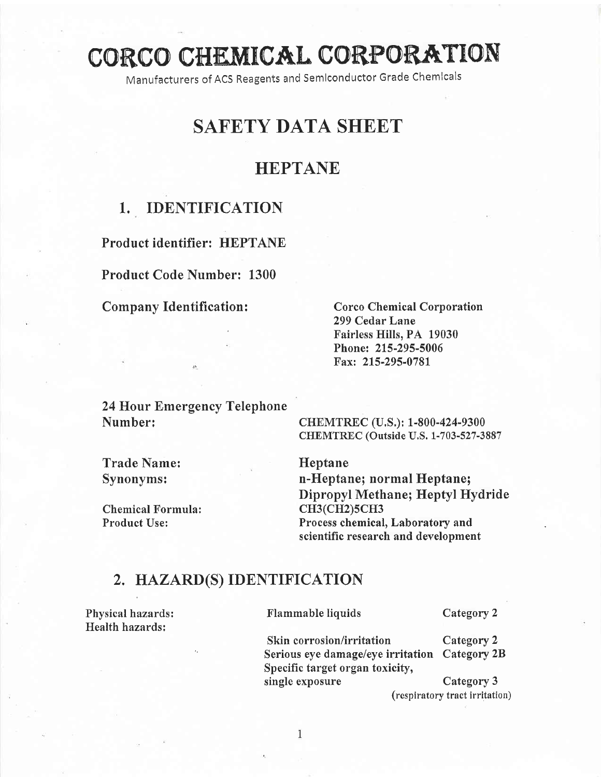# CORCO CHEMICAL CORPORATION

Manufacturers of ACS Reagents and Semlconductor Grade Chemlcals

# SAFETY DATA SHEET

### HEPTANE

# 1.. IDENTIFICATION

Product identifier: HEPTANE

Product Code Number: 1300

Company Identification :

Corco Chemical Corporation 299 Cedar Lane Fairless Hills, PA 19030 Phone: 215-295-5006 Fax: 215-295-0781

24 Hour Emergency Telephone Number: CHEMTREC (U.S.); 1-800-424-9300

CHEMTREC (Outside U.S. 1-703-527-3887

Trade Name: Heptane

Chemical Formula: CH3(CH2)5CH3<br>
Product Use: Process chemical

Synonyms: n-Heptane; normal Heptane; Dipropyl Methane; Heptyl Hydride Process chemical, Laboratory and scientific research and development

#### 2, HAZARD(S) IDENTIFICATION

Health hazards:

Physical hazards: Flammable liquids Category 2

Skin corrosion/irritation Category 2 Serious eye damage/eye irritation Category 2B Specific target organ toxicity, single exposure Category 3

(respiratory tract irritation)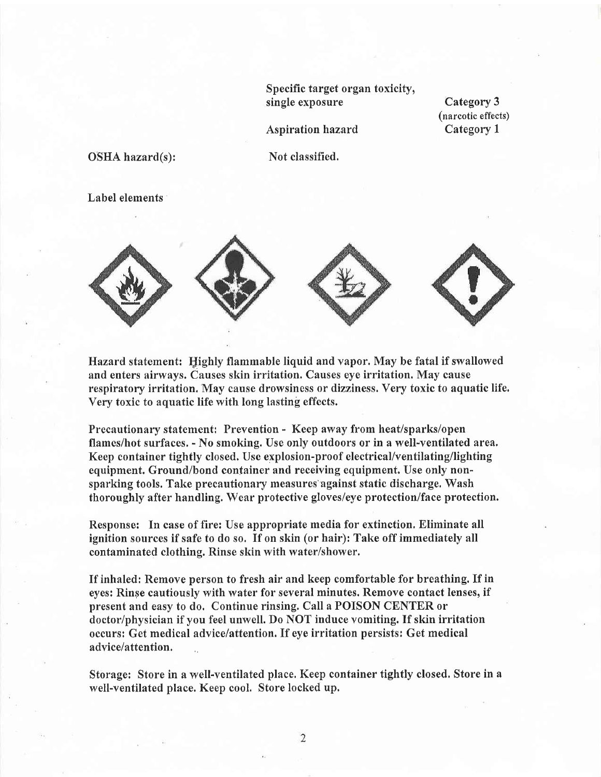Specific target organ toxicity, single exposure

Category 3 (narcotic effects) Category I

Aspiration hazard

OSHA hazard(s):

Not classified.

Label elements



Hazard statement: Ilighly flammable liquid and vapor.May be fatal if swallowed and enters nirways. Causes skin irritation. Causes eye irritation. May cause respiratory irritation. May cause drowsiness or dizziness. Very toxic to aquatic life. Very toxic to aquatic life with long lasting effects.

Precautionary statement: Prevention - Keep away from heat/sparks/open flames/hot surfaces. - No smoking. Use only outdoors or in a well-ventilated area. Keep container tightly closed. Use explosion-proof electrical/ventilating/lighting equipment. Ground/bond container and receiving equipment. Use only nonsparking tools. Take precautionary measures'against static discharge. Wash thoroughly after handling. Wear protective gloves/eye protection/face protection.

Response: In case of fire: Use appropriate media for extinction. Eliminate all ignition sources if safe to do so. If on skin (or hair): Take off immediately all contaminated clothing. Rinse skin with water/shower.

If inhaled: Remove person to fresh air and keep comfortable for breathing. If in eyes: Rinse cautiously with water for several minutes. Remove contact lenses, if present and easy to do. Continue rinsing. Call a POISON CENTER or doctor/physician if you feel unwell. Do NOT induce vomiting. If skin irritation occursi Get medical advice/attention. If eye irritation persists: Get medical advice/attention.

Storage: Store in a well-ventilated place, Keep container tightly closed. Store in <sup>a</sup> well-ventilated place. Keep cool. Store locked up.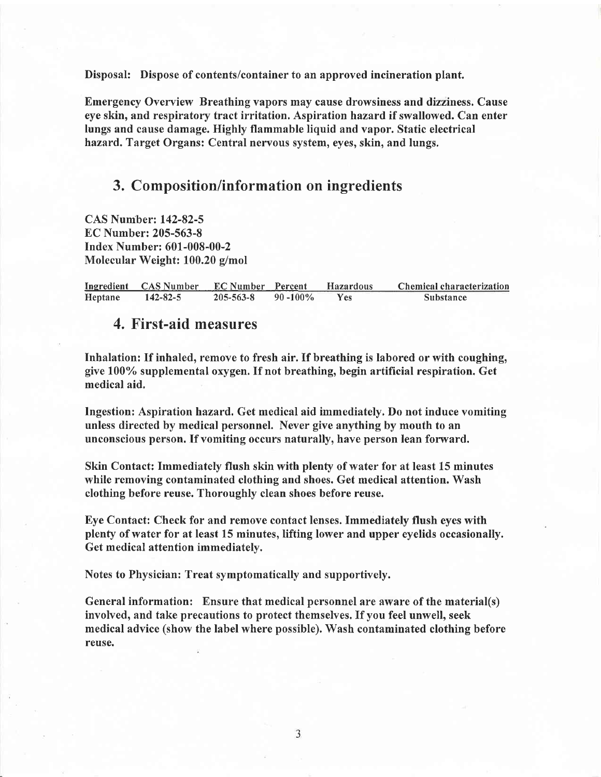Disposal: Dispose of contents/container to an approved incineration plant.

Emergency Overview Breathing vapors may cause drowsiness and dizziness. Cause eye skin, and respiratory tract irritation. Aspirationhazard if swallowed. Can enter lungs and cause damage. Highly flammable liquid and vapor. Static electrical hazard, Target Organs: Central nervous system, eyes, skin, and lungs.

#### 3. Composition/information on ingredients

CAS Num'ber:142-82-5 EC Number: 205-563-8 Index Number: 601-008-00-2 Molecular Weight: 100.20 g/mol

Ingredient CAS Number EC Number Percent Hazardous Chemical characterization<br>Heptane 142-82-5 205-563-8 90-100% Yes Substance Heptane 142-82-5 205-563-8 90 -100% Yes Substance

#### 4. First-aid measures

Inhalation: If inhaled, remove to fresh air. If breathing is labored or with coughing, give 1007o supplemental oxygen. If not breathing, begin artificial respiration. Get medical aid.

lngestion: Aspiration hazard, Get medical aid immediately. Do not induce vomiting unless directed by medical personnel. Never give anything by mouth to an unconscious person. If vomiting occurs naturally, have person lean forward.

Skin Contact: Immediately flush skin with plenty of water for at least 15 minutes while removing contaminated clothing and shoes. Get medical attention. Wash clothing before reuse. Thoroughly clean shoes before reuse.

Eye Contact: Check for and remove contact lenses. Immediately flush eyes with plenty of water for at least 15 minutes, lifting lower and upper eyelids occasionally. Get medical attention immediately.

Notes to Physician: Treat symptomatically and supportively.

General information: Ensure that medical personnel are aware of the material(s) involved, and take precautions to protect themselves. If you feel unwell, seek medical advice (show the label where possible). Wash contaminated clothing before reuse.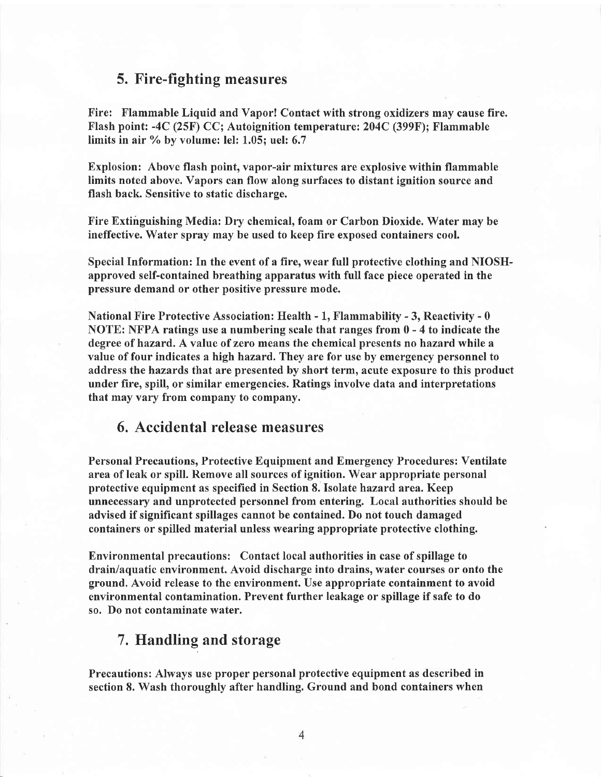#### 5. Fire-fighting measures

Fire: Flammable Liquid and Vapor! Contact with strong oxidizers may cause fire. Flash point: -4C (25F) CC; Autoignition temperature:204C (399F); Flammable limits in air  $\%$  by volume: lel: 1.05; uel: 6.7

Explosion: Above flash point, vapor-air mixtures are explosive within flammable limits noted above. Vapors can flow along surfaces to distant ignition source and flash back. Sensitive to static discharge.

Fire Extinguishing Media: Dry chemical, foam or Carbon Dioxide. Water may be ineffective. Water spray may be used to keep fire exposed containers cool.

Special Information: In the event of a fire, wear full protective clothing and NIOSHapproved self-contained breathing apparatus with full face piece operated in the pressure demand or other positive pressure mode.

National Fire Protective Association: Health  $-1$ , Flammability  $-3$ , Reactivity  $-0$ NOTE: NFPA ratings use a numbering scale that ranges from 0 - 4 to indicate the degree of hazard. A value of zero means the chemical presents no hazard while a value of four indicates a high hazard. They are for use by emergency personnel to address the hazards that are presented by short term, acute exposure to this product under fire, spill, or similar emergencies. Ratings involve data and interpretations that may vary from company to company.

#### 6. Accidental release measures

Personal Precautions, Protective Equipment and Emergency Procedures: Ventilate area of leak or spill. Remove all sources of ignition. Wear appropriate personal protective equipment as specified in Section 8. Isolate hazard area. Keep unnecessary and unprotected personnel from entering. Local authorities should be advised if significant spillages cannot be contained. Do not touch damaged containers or spilled material unless wearing appropriate protective clothing.

Environmental precautions: Contact local authorities in case of spillage to drain/aquatic environment. Avoid discharge into drains, water courses or onto the ground. Avoid release to the environment. Use appropriate containment to avoid environmental contamination. Prevent further leakage or spillage if safe to do so. Do not contaminate water.

#### 7. Handling and storage

Precautions: Always use proper personal protective equipment as described in section 8. Wash thoroughly after handling, Ground and bond containers when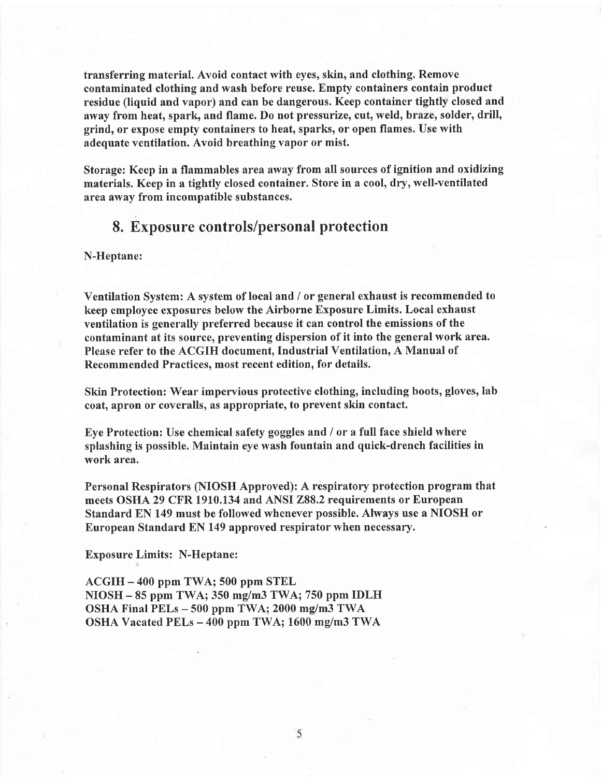transferring material. Avoid contact with eyes, skin, and clothing. Remove contaminated clothing and wash before reuse. Empfy containers contain product residue (liquid and vapor) and can be dangerous. Keep container tightly closed and away from heat, spark, and flame. Do not pressurize, cut, weld, braze, solder, drill, grind, or expose empty containers to heat, sparks, or open flames. Use with adequate ventilation. Avoid breathing vapor or mist.

Storage: Keep in a flammables area away from all sources of ignition and oxidizing materials. Keep in a tightly closed container. Store in a cool, dry, well-ventilated area away from incompatible substances.

#### 8. Exposure controls/personal protection

N-Heptane:

Ventilation System: A system of local and / or general exhaust is recommended to keep employee exposures below the Airborne Exposure Limits. Local exhaust ventilation is generally preferred because it can control the emissions of the contaminant at its source, preventing dispersion of it into the general work area. Please refer to the ACGIH document, Industrial Ventilation, A Manual of Recommended Practices. most recent edition. for details.

Skin Protection: Wear impervious protective clothing, including boots, gloves, lab coat, apron or coveralls, as appropriate, to prevent skin contact.

Eye Protection: Use chemical safety goggles and / or a full face shield where splashing is possible. Maintain eye wash fountain and quick-drench facilities in work area.

Personal Respirators (NIOSH Approved): A respiratory protection program that meets OSHA 29 CFR 1910.134 and ANSI 288.2 requirements or European Standard EN 149 must be followed whenever possible. Always use a NIOSH or European Standard EN 149 approved respirator when necessary.

Exposure Limits: N-Heptane:

ACGIH - 400 ppm TWA; 500 ppm STEL NIOSH - 85 ppm TWA; 350 mg/m3 TWA; 750 ppm IDLH OSHA Final PELs - 500 ppm TWA; 2000 mg/m3 TWA OSHA Vacated PELs - 400 ppm TWA; 1600 mg/m3 TWA

5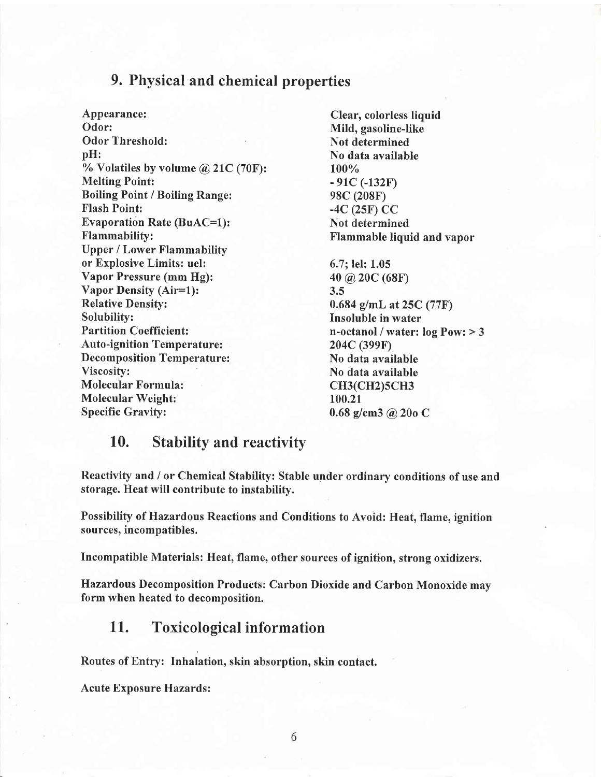#### 9. Physical and chemical properties

Appearance: Clear, colorless liquid Odor: Mild, gasoline-like Odor Threshold: Not determined pH: No data available % Volatiles by volume  $@$  21C (70F):  $100\%$ <br>Melting Point:  $-91C$  (-132F) Melting Point: Boiling Point / Boiling Range: 98C (208F)<br>Flash Point: -4C (25F) C Evaporation Rate (BuAC=1): Not determined Flammability: Flammable liquid and vapor Upper / Lower Flammability or Explosive Limits: uel: 6.7; lel: 1.05 Vapor Pressure (mm Hg):  $40 \t@ 20C (68F)$ <br>Vapor Density (Air=1):  $3.5$ Vapor Density (Air=1): Relative Density: 0.684 g/mL at 25C (77F)<br>Solubility: 1nsoluble in water Solubility: Insoluble in water<br>
Partition Coefficient: The Contract of the Coefficient: Insoluble in water: Auto-ignition Temperature: 204C (399F) Decomposition Temperature: No data available Viscosity: No data available Molecular Formula: CH3(CH2)5CH3 Molecular Weight:  $\begin{array}{r} 100.21 \\ 5 \text{pecific Gravity:} \end{array}$ 

 $-4C$  (25F) CC

n-octanol / water:  $log Pow: > 3$  $0.68$  g/cm3 @ 20o C

#### 10. Stabilitv and reactivitv

Reactivity and / or Chemical Stability: Stable under ordinary conditions of use and storage. Heat will contribute to instability.

Possibility of Hazardous Reactions and Conditions to Avoid: Heat, flame, ignition sources, incompatibles.

Incompatible Materials: Heat, flame, other sources of ignition, strong oxidizers.

Hazardous Decomposition Products: Carbon Dioxide and Carbon Monoxide may form when heated to decomposition.

#### 11. Toxicological information

Routes of Entry: Inhalation, skin absorption, skin contact.

Acute Exposure Hazards: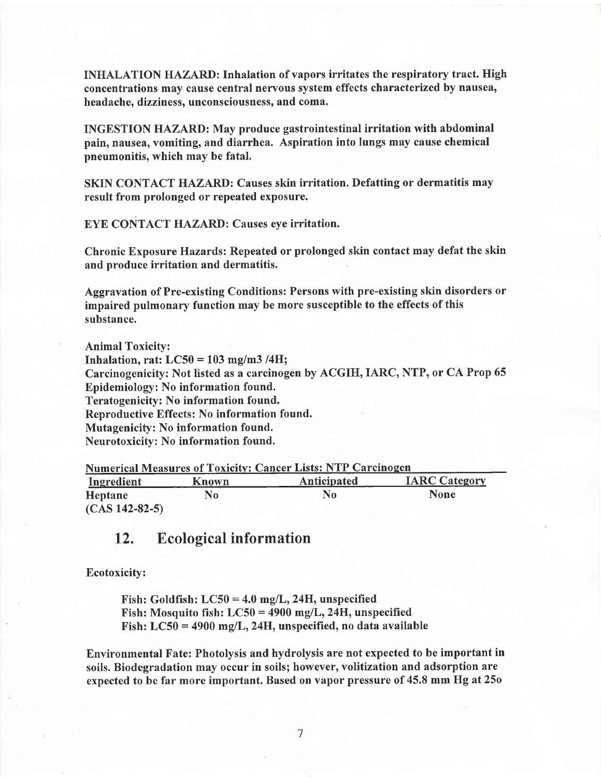INHALATION HAZARD: Inhalation of vapors irritates the respiratory tract. High concentrations may cause central nervous system effects characterized by nausea, headache, dizziness, unconsciousness, and coma.

INGESTION HAZARD: May produce gastrointestinal irritation with abdominal pain, nausea, vomiting, and diarrhea. Aspiration into lungs may cause chemical pneumonitis, which may be fatal.

SKIN CONTACT HAZARD: Causes skin irritation. Defatting or dermatitis may result from prolonged or repeated exposure.

EYE CONTACT HAZARD: Causes eye irritation.

Chronic Exposure Hazards: Repeated or prolonged skin contact may defat the skin and produce irritation and dermatitis

Aggravation of Pre-existing Conditions: Persons with pre-existing skin disorders or impaired pulmonary function may be more susceptible to the effects of this substance.

Animal Toxicity: Inhalation, rat:  $LC50 = 103$  mg/m3/4H; Carcinogenicity: Not listed as a carcinogen by ACGIH, IARC, NTP, or CA Prop 65 Epidemiology: No information found. Teratogenicity: No information found. Reproductive Effects: No information found. Mutagenicity: No information found. Neurotoxicity: No information found.

| <b>Numerical Measures of Toxicity: Cancer Lists: NTP Carcinogen</b> |       |             |                      |  |  |
|---------------------------------------------------------------------|-------|-------------|----------------------|--|--|
| Ingredient                                                          | Known | Anticipated | <b>IARC Category</b> |  |  |
| Heptane                                                             | No    | No          | <b>None</b>          |  |  |
| $(CAS 142-82-5)$                                                    |       |             |                      |  |  |

#### L2. Ecological information

Ecotoxicity:

Fish: Goldfish:  $LC50 = 4.0$  mg/L, 24H, unspecified Fish: Mosquito fish:  $LC50 = 4900$  mg/L, 24H, unspecified Fish:  $LC50 = 4900$  mg/L, 24H, unspecified, no data available

Environmental Fate: Photolysis and hydrolysis are not expected to be important in soils. Biodegradation may occur in soils; however, volitization and adsorption are expected to be far more important. Based on vapor pressure of 45.8 mm Hg at25o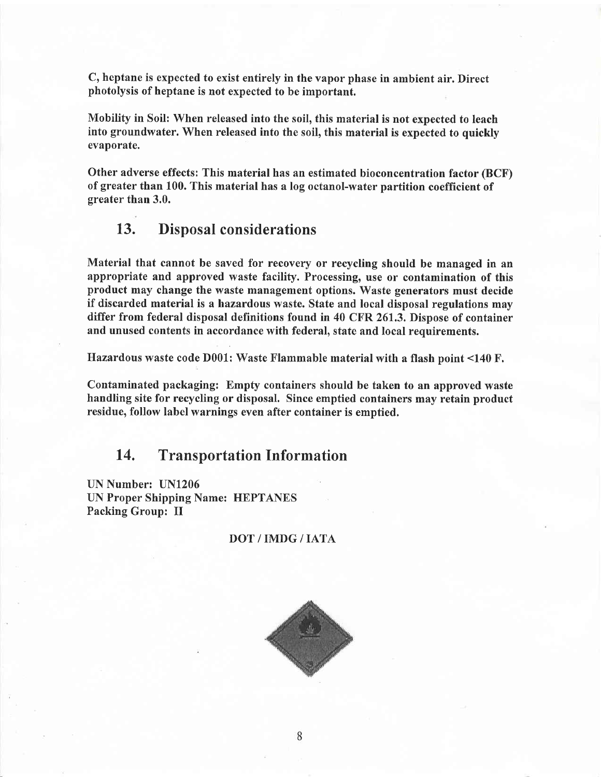C, heptane is expected to exist entirely in the vapor phase in ambient air. Direct photolysis of heptane is not expected to be important.

Mobility in Soil: When released into the soil, this material is not expected to leach into groundwater. When released into the soil, this material is expected to quickly evaporate.

Other adverse effects: This material has an estimated bioconcentration factor (BCF) of greater than 100. This material has a log octanol-water partition coefficient of greater than 3.0.

#### 13. Disposal considerations

Material that cannot be saved for recovery or recycling should be managed in an appropriate and approved waste facility. Processing, use or contamination of this product may change the waste management options. Waste generators must decide if discarded material is a hazardous waste. State and local disposal regulations may differ from federal disposal definitions found in 40 CFR 261.3, Dispose of container and unused contents in accordance with federal, state and local requirements.

Hazardous waste code D001: Waste Flammable material with a flash point <140 F.

Contaminated packaging: Empty containers should be taken to an approved waste handling site for recycling or disposal. Since emptied containers may retain product residue, follow label warnings even after container is emptied.

#### 14, Transportation Information

UN Number: UN1206 UN Proper Shipping Name: HEPTANES Packing Group: II

#### DOT/IMDG/IATA

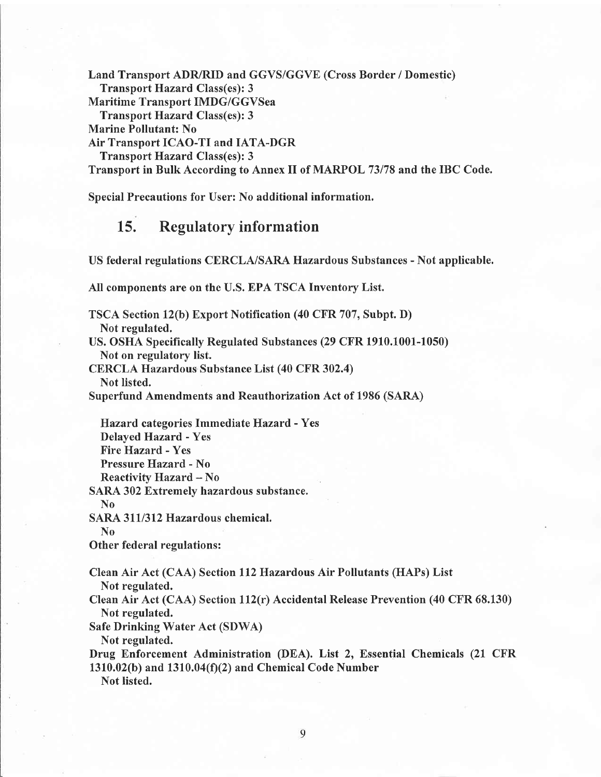Land Transport ADR/RID and GGVS/GGVE (Cross Border / Domestic) Transport Hazard Class(es): 3 Maritime Transport IMDG/GGVSea Transport Hazard Class(es): 3 Marine Pollutant: No Air Transport ICAO-TI and IATA-DGR Transport Hazard Class(es): 3 Transport in Bulk According to Annex II of MARPOL 73178 and the IBC Code.

Special Precautions for User: No additional information.

# 15. Regulatory information

US federal regulations CERCLA/SARA Hazardous Substances - Not applicable.

All components are on the U.S. EPA TSCA Inventory List.

TSCA Section l2(b) Export Notification (40 CFR 707, Subpt. D) Not regulated. US. OSHA Specifically Regulated Substances (29 CFR 1910.1001-1050) Not on regulatory list. CERCLA Hazardous Substance List (40 CFR 302.4) Not listed. Superfund Amendments and Reauthorization Act of 1986 (SARA) Hazard categories Immediate Hazard - Yes Delayed Hazard - Yes Fire Hazard - Yes Pressure Hazard - No Reactivity Hazard - No SARA 302 Extremely hazardous substance. No SARA 311/312 Hazardous chemical. No Other federal regulations: Clean Air Act (CAA) Section ll2Hazardous Air Pollutants (HAPs) List Not regulated. Clean Air Act (CAA) Section ll2(r) Accidental Release Prevention (40 CFR 68.130) Not regulated.

Safe Drinking Water Act (SDWA) Not regulated.

Drug Enforcement Administration (DEA). List 2, Essential Chemicals (21 CFR  $1310.02(b)$  and  $1310.04(f)(2)$  and Chemical Code Number

Not listed.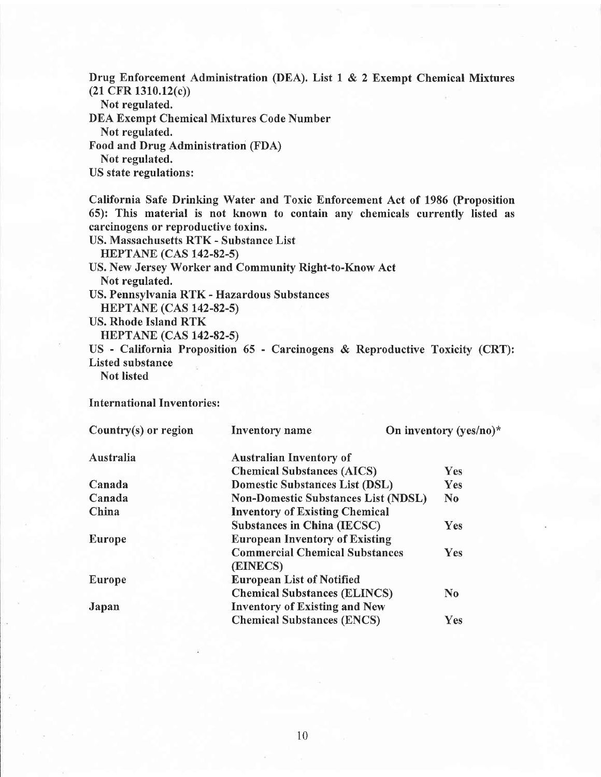Drug Enforcement Administration (DEA). List I & 2 Exempt Chemical Mixtures (21 CFR 1310.12(c))

Not regulated.

DEA Exempt Chemical Mixtures Code Number

Not regulated.

Food and Drug Administration (FDA)

Not regulated.

US state regulations:

California Safe Drinking Water and Toxic Enforcement Act of 1986 (Proposition 65): This material is not known to contain any chemicals currently listed as carcinogens or reproductive toxins.

US. Massachusetts RTK - Substance List HEPTANE (CAS t42-82-s) US. New Jersey Worker and Community Right-to-Know Act Not regulated. US. Pennsylvania RTK - Hazardous Substances HEPTANE (CAS 142-82-s) US. Rhode Island RTK **HEPTANE (CAS 142-82-5)** US - California Proposition 65 - Carcinogens & Reproductive Toxicity (CRT): Listed substance Not listed

International Inventories :

| Country $(s)$ or region | <b>Inventory</b> name                      | On inventory (yes/no)* |  |  |
|-------------------------|--------------------------------------------|------------------------|--|--|
| Australia               | <b>Australian Inventory of</b>             |                        |  |  |
|                         | <b>Chemical Substances (AICS)</b>          | <b>Yes</b>             |  |  |
| Canada                  | <b>Domestic Substances List (DSL)</b>      | Yes                    |  |  |
| Canada                  | <b>Non-Domestic Substances List (NDSL)</b> | N <sub>0</sub>         |  |  |
| China                   | <b>Inventory of Existing Chemical</b>      |                        |  |  |
|                         | <b>Substances in China (IECSC)</b>         | Yes                    |  |  |
| <b>Europe</b>           | <b>European Inventory of Existing</b>      |                        |  |  |
|                         | <b>Commercial Chemical Substances</b>      | <b>Yes</b>             |  |  |
|                         | (EINECS)                                   |                        |  |  |
| Europe                  | <b>European List of Notified</b>           |                        |  |  |
|                         | <b>Chemical Substances (ELINCS)</b>        | $\bf No$               |  |  |
| Japan                   | <b>Inventory of Existing and New</b>       |                        |  |  |
|                         | <b>Chemical Substances (ENCS)</b>          | Yes                    |  |  |
|                         |                                            |                        |  |  |